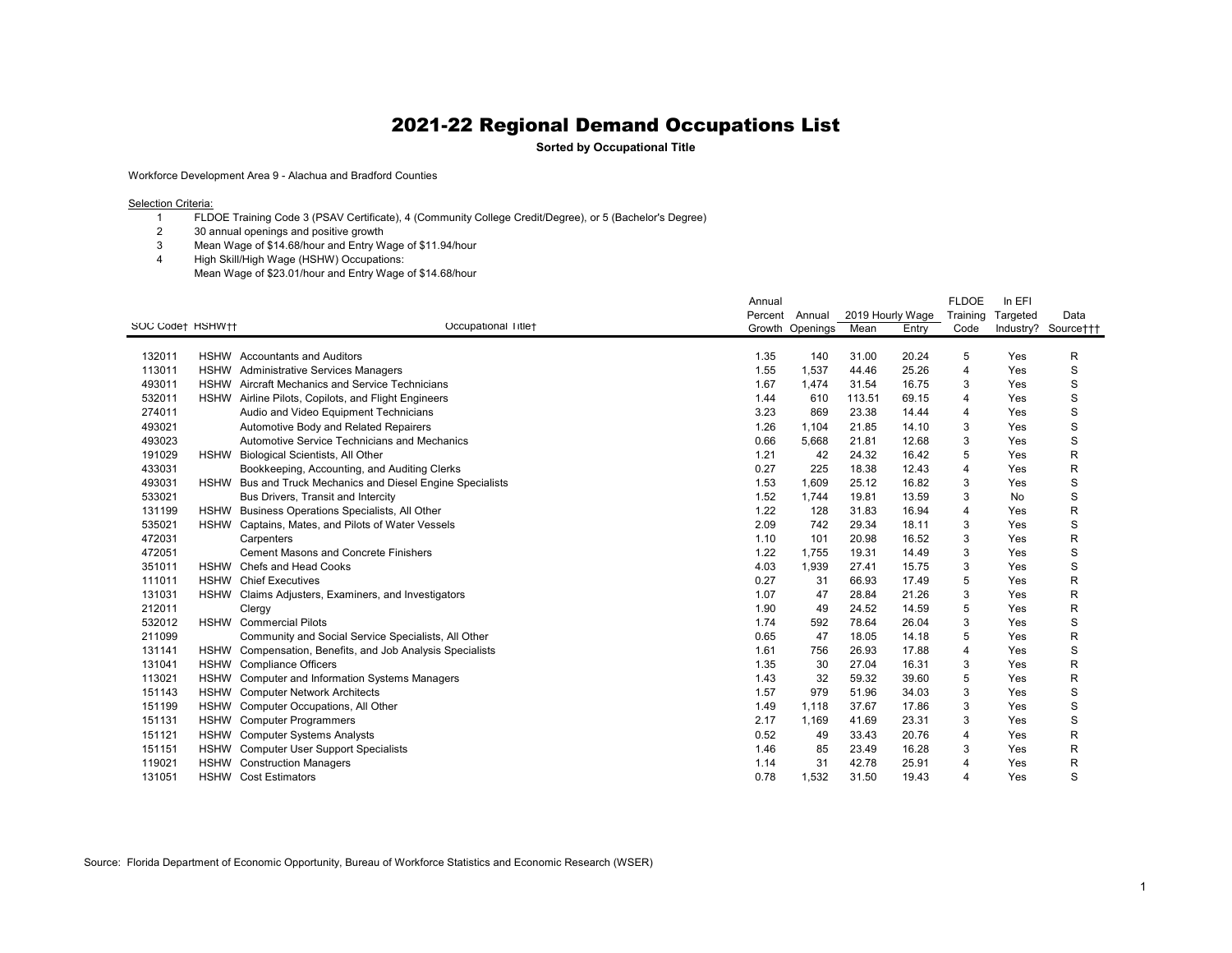**Sorted by Occupational Title**

Workforce Development Area 9 - Alachua and Bradford Counties

**Selection Criteria:** 

- FLDOE Training Code 3 (PSAV Certificate), 4 (Community College Credit/Degree), or 5 (Bachelor's Degree)
- 30 annual openings and positive growth
- Mean Wage of \$14.68/hour and Entry Wage of \$11.94/hour
- High Skill/High Wage (HSHW) Occupations: Mean Wage of \$23.01/hour and Entry Wage of \$14.68/hour

|                  |             |                                                           | Annual  |          |                  |       | <b>FLDOE</b>   | In EFI   |                     |
|------------------|-------------|-----------------------------------------------------------|---------|----------|------------------|-------|----------------|----------|---------------------|
|                  |             |                                                           | Percent | Annual   | 2019 Hourly Wage |       | Training       | Targeted | Data                |
| SOC Code† HSHW†† |             | Occupational Title+                                       | Growth  | Openings | Mean             | Entry | Code           |          | Industry? Source††† |
|                  |             |                                                           |         |          |                  |       |                |          |                     |
| 132011           |             | <b>HSHW</b> Accountants and Auditors                      | 1.35    | 140      | 31.00            | 20.24 | 5              | Yes      | R                   |
| 113011           | <b>HSHW</b> | <b>Administrative Services Managers</b>                   | 1.55    | 1,537    | 44.46            | 25.26 | $\overline{4}$ | Yes      | S                   |
| 493011           |             | HSHW Aircraft Mechanics and Service Technicians           | 1.67    | 1,474    | 31.54            | 16.75 | 3              | Yes      | S                   |
| 532011           | <b>HSHW</b> | Airline Pilots, Copilots, and Flight Engineers            | 1.44    | 610      | 113.51           | 69.15 | $\overline{4}$ | Yes      | S                   |
| 274011           |             | Audio and Video Equipment Technicians                     | 3.23    | 869      | 23.38            | 14.44 | $\overline{4}$ | Yes      | S                   |
| 493021           |             | Automotive Body and Related Repairers                     | 1.26    | 1,104    | 21.85            | 14.10 | 3              | Yes      | S                   |
| 493023           |             | Automotive Service Technicians and Mechanics              | 0.66    | 5,668    | 21.81            | 12.68 | 3              | Yes      | $\mathsf S$         |
| 191029           | <b>HSHW</b> | Biological Scientists, All Other                          | 1.21    | 42       | 24.32            | 16.42 | 5              | Yes      | R                   |
| 433031           |             | Bookkeeping, Accounting, and Auditing Clerks              | 0.27    | 225      | 18.38            | 12.43 | 4              | Yes      | R                   |
| 493031           | <b>HSHW</b> | Bus and Truck Mechanics and Diesel Engine Specialists     | 1.53    | 1,609    | 25.12            | 16.82 | 3              | Yes      | S                   |
| 533021           |             | Bus Drivers, Transit and Intercity                        | 1.52    | 1,744    | 19.81            | 13.59 | 3              | No       | S                   |
| 131199           | <b>HSHW</b> | Business Operations Specialists, All Other                | 1.22    | 128      | 31.83            | 16.94 | 4              | Yes      | $\mathsf R$         |
| 535021           | <b>HSHW</b> | Captains, Mates, and Pilots of Water Vessels              | 2.09    | 742      | 29.34            | 18.11 | 3              | Yes      | S                   |
| 472031           |             | Carpenters                                                | 1.10    | 101      | 20.98            | 16.52 | 3              | Yes      | R                   |
| 472051           |             | <b>Cement Masons and Concrete Finishers</b>               | 1.22    | 1.755    | 19.31            | 14.49 | 3              | Yes      | S                   |
| 351011           |             | HSHW Chefs and Head Cooks                                 | 4.03    | 1,939    | 27.41            | 15.75 | 3              | Yes      | S                   |
| 111011           |             | <b>HSHW</b> Chief Executives                              | 0.27    | 31       | 66.93            | 17.49 | 5              | Yes      | $\mathsf R$         |
| 131031           |             | HSHW Claims Adjusters, Examiners, and Investigators       | 1.07    | 47       | 28.84            | 21.26 | 3              | Yes      | R                   |
| 212011           |             | Clergy                                                    | 1.90    | 49       | 24.52            | 14.59 | 5              | Yes      | R                   |
| 532012           |             | <b>HSHW</b> Commercial Pilots                             | 1.74    | 592      | 78.64            | 26.04 | 3              | Yes      | S                   |
| 211099           |             | Community and Social Service Specialists, All Other       | 0.65    | 47       | 18.05            | 14.18 | 5              | Yes      | $\mathsf R$         |
| 131141           |             | HSHW Compensation, Benefits, and Job Analysis Specialists | 1.61    | 756      | 26.93            | 17.88 | $\overline{4}$ | Yes      | S                   |
| 131041           | <b>HSHW</b> | <b>Compliance Officers</b>                                | 1.35    | 30       | 27.04            | 16.31 | 3              | Yes      | R                   |
| 113021           | <b>HSHW</b> | <b>Computer and Information Systems Managers</b>          | 1.43    | 32       | 59.32            | 39.60 | 5              | Yes      | R                   |
| 151143           | <b>HSHW</b> | <b>Computer Network Architects</b>                        | 1.57    | 979      | 51.96            | 34.03 | 3              | Yes      | S                   |
| 151199           | <b>HSHW</b> | Computer Occupations, All Other                           | 1.49    | 1,118    | 37.67            | 17.86 | 3              | Yes      | S                   |
| 151131           | <b>HSHW</b> | <b>Computer Programmers</b>                               | 2.17    | 1,169    | 41.69            | 23.31 | 3              | Yes      | S                   |
| 151121           | <b>HSHW</b> | <b>Computer Systems Analysts</b>                          | 0.52    | 49       | 33.43            | 20.76 | $\overline{4}$ | Yes      | R                   |
| 151151           |             | HSHW Computer User Support Specialists                    | 1.46    | 85       | 23.49            | 16.28 | 3              | Yes      | R                   |
| 119021           | <b>HSHW</b> | <b>Construction Managers</b>                              | 1.14    | 31       | 42.78            | 25.91 | $\overline{4}$ | Yes      | R                   |
| 131051           |             | <b>HSHW</b> Cost Estimators                               | 0.78    | 1,532    | 31.50            | 19.43 | Δ              | Yes      | S                   |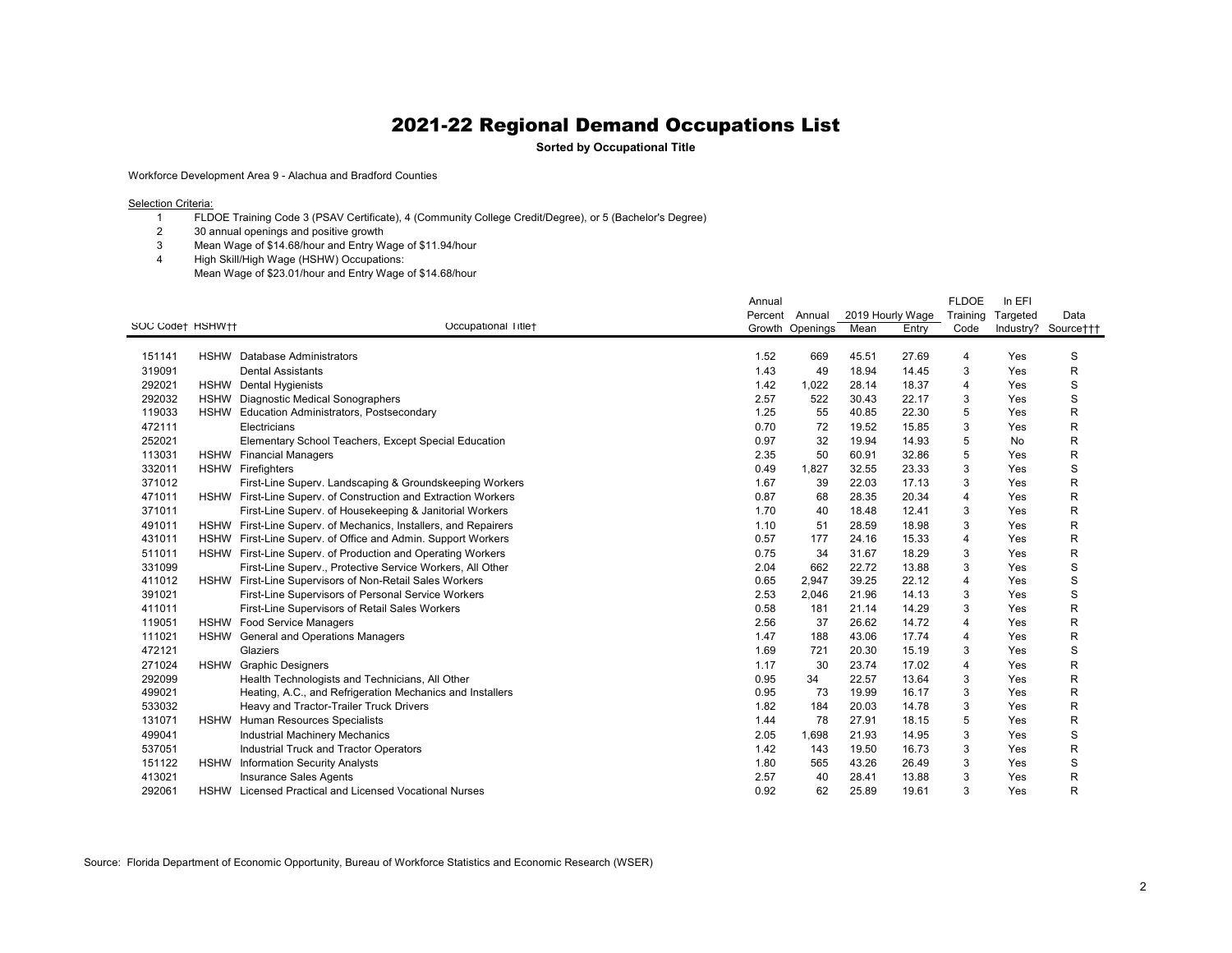**Sorted by Occupational Title**

Workforce Development Area 9 - Alachua and Bradford Counties

**Selection Criteria:** 

 FLDOE Training Code 3 (PSAV Certificate), 4 (Community College Credit/Degree), or 5 (Bachelor's Degree)

30 annual openings and positive growth

- Mean Wage of \$14.68/hour and Entry Wage of \$11.94/hour
- High Skill/High Wage (HSHW) Occupations:

Mean Wage of \$23.01/hour and Entry Wage of \$14.68/hour

|                  |             |                                                                 | Annual  |          |                  |       | <b>FLDOE</b> | In EFI   |                     |
|------------------|-------------|-----------------------------------------------------------------|---------|----------|------------------|-------|--------------|----------|---------------------|
|                  |             |                                                                 | Percent | Annual   | 2019 Hourly Wage |       | Training     | Targeted | Data                |
| SOC Code† HSHW†† |             | Occupational Title+                                             | Growth  | Openings | Mean             | Entry | Code         |          | Industry? Source††† |
|                  |             |                                                                 |         |          |                  |       |              |          |                     |
| 151141           | <b>HSHW</b> | Database Administrators                                         | 1.52    | 669      | 45.51            | 27.69 | 4            | Yes      | S                   |
| 319091           |             | <b>Dental Assistants</b>                                        | 1.43    | 49       | 18.94            | 14.45 | 3            | Yes      | R                   |
| 292021           | <b>HSHW</b> | Dental Hygienists                                               | 1.42    | 1,022    | 28.14            | 18.37 | 4            | Yes      | S                   |
| 292032           | <b>HSHW</b> | <b>Diagnostic Medical Sonographers</b>                          | 2.57    | 522      | 30.43            | 22.17 | 3            | Yes      | S                   |
| 119033           | <b>HSHW</b> | <b>Education Administrators, Postsecondary</b>                  | 1.25    | 55       | 40.85            | 22.30 | 5            | Yes      | $\mathsf{R}$        |
| 472111           |             | Electricians                                                    | 0.70    | 72       | 19.52            | 15.85 | 3            | Yes      | R                   |
| 252021           |             | Elementary School Teachers, Except Special Education            | 0.97    | 32       | 19.94            | 14.93 | 5            | No       | R                   |
| 113031           |             | <b>HSHW</b> Financial Managers                                  | 2.35    | 50       | 60.91            | 32.86 | 5            | Yes      | R                   |
| 332011           |             | HSHW Firefighters                                               | 0.49    | 1,827    | 32.55            | 23.33 | 3            | Yes      | S                   |
| 371012           |             | First-Line Superv. Landscaping & Groundskeeping Workers         | 1.67    | 39       | 22.03            | 17.13 | 3            | Yes      | R                   |
| 471011           |             | HSHW First-Line Superv. of Construction and Extraction Workers  | 0.87    | 68       | 28.35            | 20.34 | 4            | Yes      | R                   |
| 371011           |             | First-Line Superv. of Housekeeping & Janitorial Workers         | 1.70    | 40       | 18.48            | 12.41 | 3            | Yes      | R                   |
| 491011           |             | HSHW First-Line Superv. of Mechanics, Installers, and Repairers | 1.10    | 51       | 28.59            | 18.98 | 3            | Yes      | R                   |
| 431011           |             | HSHW First-Line Superv. of Office and Admin. Support Workers    | 0.57    | 177      | 24.16            | 15.33 | 4            | Yes      | $\mathsf{R}$        |
| 511011           |             | HSHW First-Line Superv. of Production and Operating Workers     | 0.75    | 34       | 31.67            | 18.29 | 3            | Yes      | R                   |
| 331099           |             | First-Line Superv., Protective Service Workers, All Other       | 2.04    | 662      | 22.72            | 13.88 | 3            | Yes      | S                   |
| 411012           | <b>HSHW</b> | First-Line Supervisors of Non-Retail Sales Workers              | 0.65    | 2,947    | 39.25            | 22.12 | 4            | Yes      | S                   |
| 391021           |             | First-Line Supervisors of Personal Service Workers              | 2.53    | 2,046    | 21.96            | 14.13 | 3            | Yes      | S                   |
| 411011           |             | First-Line Supervisors of Retail Sales Workers                  | 0.58    | 181      | 21.14            | 14.29 | 3            | Yes      | R                   |
| 119051           |             | HSHW Food Service Managers                                      | 2.56    | 37       | 26.62            | 14.72 | 4            | Yes      | R                   |
| 111021           |             | HSHW General and Operations Managers                            | 1.47    | 188      | 43.06            | 17.74 | 4            | Yes      | R                   |
| 472121           |             | Glaziers                                                        | 1.69    | 721      | 20.30            | 15.19 | 3            | Yes      | S                   |
| 271024           | <b>HSHW</b> | <b>Graphic Designers</b>                                        | 1.17    | 30       | 23.74            | 17.02 | 4            | Yes      | R                   |
| 292099           |             | Health Technologists and Technicians, All Other                 | 0.95    | 34       | 22.57            | 13.64 | 3            | Yes      | $\mathsf{R}$        |
| 499021           |             | Heating, A.C., and Refrigeration Mechanics and Installers       | 0.95    | 73       | 19.99            | 16.17 | 3            | Yes      | $\mathsf{R}$        |
| 533032           |             | Heavy and Tractor-Trailer Truck Drivers                         | 1.82    | 184      | 20.03            | 14.78 | 3            | Yes      | $\mathsf{R}$        |
| 131071           | <b>HSHW</b> | Human Resources Specialists                                     | 1.44    | 78       | 27.91            | 18.15 | 5            | Yes      | R                   |
| 499041           |             | <b>Industrial Machinery Mechanics</b>                           | 2.05    | 1,698    | 21.93            | 14.95 | 3            | Yes      | S                   |
| 537051           |             | Industrial Truck and Tractor Operators                          | 1.42    | 143      | 19.50            | 16.73 | 3            | Yes      | R                   |
| 151122           | <b>HSHW</b> | <b>Information Security Analysts</b>                            | 1.80    | 565      | 43.26            | 26.49 | 3            | Yes      | S                   |
| 413021           |             | <b>Insurance Sales Agents</b>                                   | 2.57    | 40       | 28.41            | 13.88 | 3            | Yes      | R                   |
| 292061           |             | <b>HSHW</b> Licensed Practical and Licensed Vocational Nurses   | 0.92    | 62       | 25.89            | 19.61 | 3            | Yes      | R                   |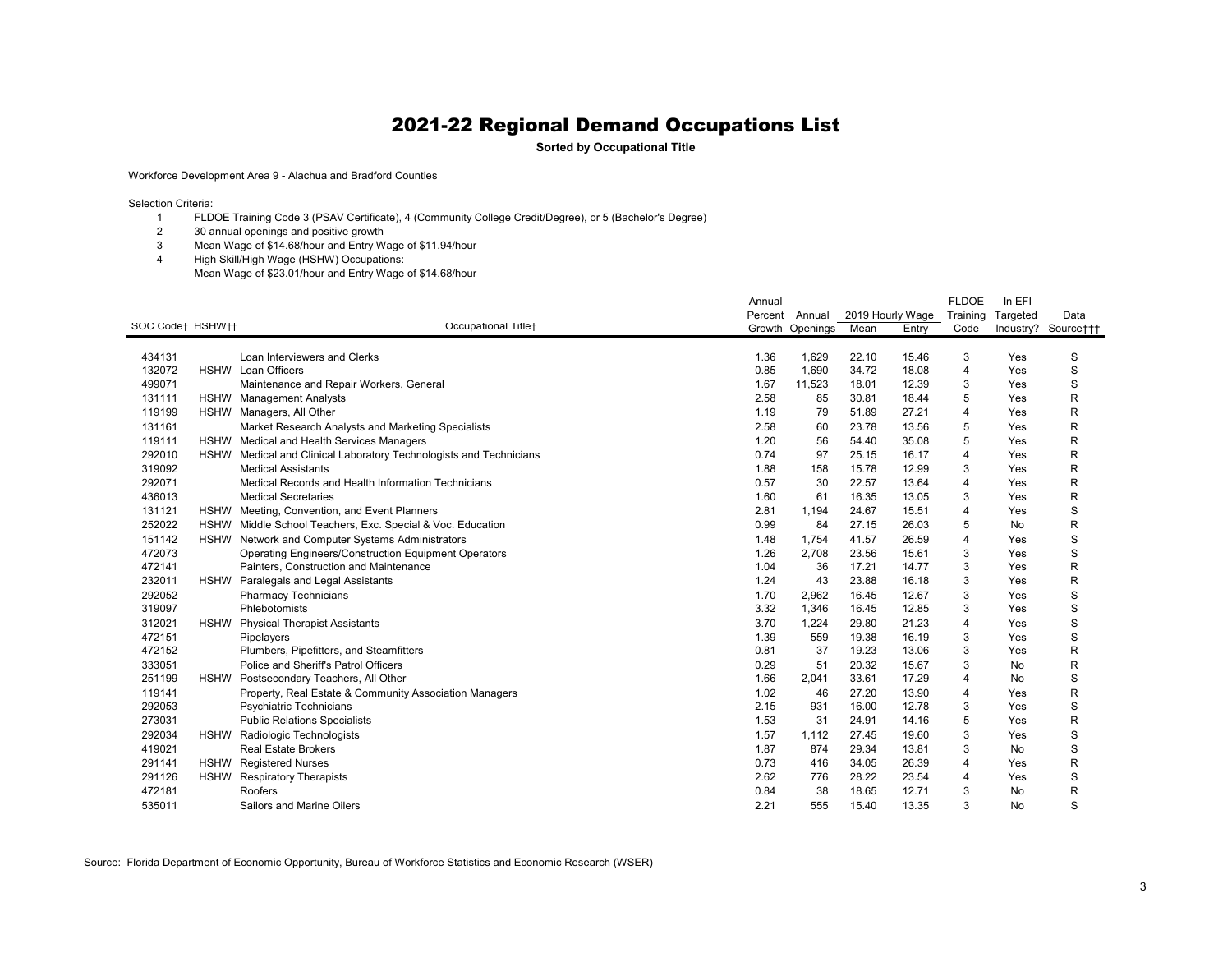**Sorted by Occupational Title**

Workforce Development Area 9 - Alachua and Bradford Counties

**Selection Criteria:** 

- FLDOE Training Code 3 (PSAV Certificate), 4 (Community College Credit/Degree), or 5 (Bachelor's Degree)
- 30 annual openings and positive growth
- Mean Wage of \$14.68/hour and Entry Wage of \$11.94/hour
- High Skill/High Wage (HSHW) Occupations:
- Mean Wage of \$23.01/hour and Entry Wage of \$14.68/hour

|                  |             |                                                                    | Annual  |          |       |                  | <b>FLDOE</b> | In EFI   |                     |
|------------------|-------------|--------------------------------------------------------------------|---------|----------|-------|------------------|--------------|----------|---------------------|
|                  |             |                                                                    | Percent | Annual   |       | 2019 Hourly Wage | Training     | Targeted | Data                |
| SOC Code† HSHW†† |             | Occupational Title+                                                | Growth  | Openings | Mean  | Entry            | Code         |          | Industry? Source††† |
|                  |             |                                                                    |         |          |       |                  |              |          |                     |
| 434131           |             | Loan Interviewers and Clerks                                       | 1.36    | 1,629    | 22.10 | 15.46            | 3            | Yes      | S                   |
| 132072           |             | <b>HSHW</b> Loan Officers                                          | 0.85    | 1,690    | 34.72 | 18.08            | 4            | Yes      | S                   |
| 499071           |             | Maintenance and Repair Workers, General                            | 1.67    | 11,523   | 18.01 | 12.39            | 3            | Yes      | S                   |
| 131111           |             | HSHW Management Analysts                                           | 2.58    | 85       | 30.81 | 18.44            | 5            | Yes      | R                   |
| 119199           |             | HSHW Managers, All Other                                           | 1.19    | 79       | 51.89 | 27.21            | 4            | Yes      | R                   |
| 131161           |             | Market Research Analysts and Marketing Specialists                 | 2.58    | 60       | 23.78 | 13.56            | 5            | Yes      | R                   |
| 119111           |             | HSHW Medical and Health Services Managers                          | 1.20    | 56       | 54.40 | 35.08            | 5            | Yes      | R                   |
| 292010           |             | HSHW Medical and Clinical Laboratory Technologists and Technicians | 0.74    | 97       | 25.15 | 16.17            | 4            | Yes      | R                   |
| 319092           |             | <b>Medical Assistants</b>                                          | 1.88    | 158      | 15.78 | 12.99            | 3            | Yes      | R                   |
| 292071           |             | Medical Records and Health Information Technicians                 | 0.57    | 30       | 22.57 | 13.64            | 4            | Yes      | R                   |
| 436013           |             | <b>Medical Secretaries</b>                                         | 1.60    | 61       | 16.35 | 13.05            | 3            | Yes      | R                   |
| 131121           |             | HSHW Meeting, Convention, and Event Planners                       | 2.81    | 1,194    | 24.67 | 15.51            | 4            | Yes      | S                   |
| 252022           |             | HSHW Middle School Teachers, Exc. Special & Voc. Education         | 0.99    | 84       | 27.15 | 26.03            | 5            | No       | R                   |
| 151142           |             | HSHW Network and Computer Systems Administrators                   | 1.48    | 1,754    | 41.57 | 26.59            | 4            | Yes      | S                   |
| 472073           |             | <b>Operating Engineers/Construction Equipment Operators</b>        | 1.26    | 2,708    | 23.56 | 15.61            | 3            | Yes      | S                   |
| 472141           |             | Painters, Construction and Maintenance                             | 1.04    | 36       | 17.21 | 14.77            | 3            | Yes      | R                   |
| 232011           | <b>HSHW</b> | Paralegals and Legal Assistants                                    | 1.24    | 43       | 23.88 | 16.18            | 3            | Yes      | R                   |
| 292052           |             | <b>Pharmacy Technicians</b>                                        | 1.70    | 2,962    | 16.45 | 12.67            | 3            | Yes      | S                   |
| 319097           |             | Phlebotomists                                                      | 3.32    | 1,346    | 16.45 | 12.85            | 3            | Yes      | S                   |
| 312021           | <b>HSHW</b> | <b>Physical Therapist Assistants</b>                               | 3.70    | 1,224    | 29.80 | 21.23            | 4            | Yes      | S                   |
| 472151           |             | Pipelayers                                                         | 1.39    | 559      | 19.38 | 16.19            | 3            | Yes      | S                   |
| 472152           |             | Plumbers, Pipefitters, and Steamfitters                            | 0.81    | 37       | 19.23 | 13.06            | 3            | Yes      | R                   |
| 333051           |             | Police and Sheriff's Patrol Officers                               | 0.29    | 51       | 20.32 | 15.67            | 3            | No       | R                   |
| 251199           | <b>HSHW</b> | Postsecondary Teachers, All Other                                  | 1.66    | 2,041    | 33.61 | 17.29            | 4            | No       | S                   |
| 119141           |             | Property, Real Estate & Community Association Managers             | 1.02    | 46       | 27.20 | 13.90            | 4            | Yes      | R                   |
| 292053           |             | Psychiatric Technicians                                            | 2.15    | 931      | 16.00 | 12.78            | 3            | Yes      | S                   |
| 273031           |             | <b>Public Relations Specialists</b>                                | 1.53    | 31       | 24.91 | 14.16            | 5            | Yes      | R                   |
| 292034           | <b>HSHW</b> | Radiologic Technologists                                           | 1.57    | 1,112    | 27.45 | 19.60            | 3            | Yes      | S                   |
| 419021           |             | <b>Real Estate Brokers</b>                                         | 1.87    | 874      | 29.34 | 13.81            | 3            | No       | S                   |
| 291141           |             | <b>HSHW</b> Registered Nurses                                      | 0.73    | 416      | 34.05 | 26.39            | 4            | Yes      | R                   |
| 291126           | <b>HSHW</b> | <b>Respiratory Therapists</b>                                      | 2.62    | 776      | 28.22 | 23.54            | 4            | Yes      | S                   |
| 472181           |             | Roofers                                                            | 0.84    | 38       | 18.65 | 12.71            | 3            | No       | R                   |
| 535011           |             | Sailors and Marine Oilers                                          | 2.21    | 555      | 15.40 | 13.35            | 3            | No       | S                   |